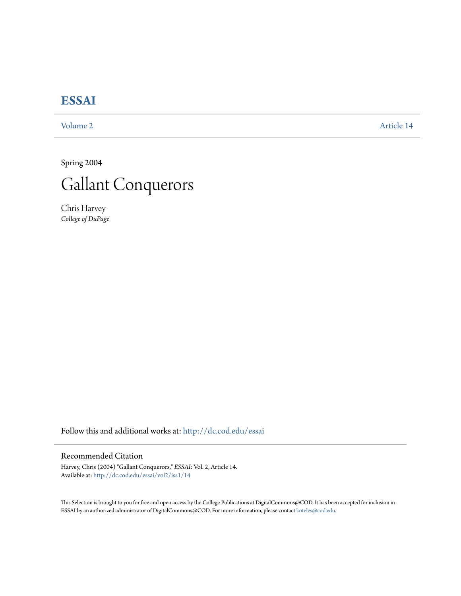# **[ESSAI](http://dc.cod.edu/essai?utm_source=dc.cod.edu%2Fessai%2Fvol2%2Fiss1%2F14&utm_medium=PDF&utm_campaign=PDFCoverPages)**

[Volume 2](http://dc.cod.edu/essai/vol2?utm_source=dc.cod.edu%2Fessai%2Fvol2%2Fiss1%2F14&utm_medium=PDF&utm_campaign=PDFCoverPages) [Article 14](http://dc.cod.edu/essai/vol2/iss1/14?utm_source=dc.cod.edu%2Fessai%2Fvol2%2Fiss1%2F14&utm_medium=PDF&utm_campaign=PDFCoverPages)

Spring 2004



Chris Harvey *College of DuPage*

Follow this and additional works at: [http://dc.cod.edu/essai](http://dc.cod.edu/essai?utm_source=dc.cod.edu%2Fessai%2Fvol2%2Fiss1%2F14&utm_medium=PDF&utm_campaign=PDFCoverPages)

# Recommended Citation

Harvey, Chris (2004) "Gallant Conquerors," *ESSAI*: Vol. 2, Article 14. Available at: [http://dc.cod.edu/essai/vol2/iss1/14](http://dc.cod.edu/essai/vol2/iss1/14?utm_source=dc.cod.edu%2Fessai%2Fvol2%2Fiss1%2F14&utm_medium=PDF&utm_campaign=PDFCoverPages)

This Selection is brought to you for free and open access by the College Publications at DigitalCommons@COD. It has been accepted for inclusion in ESSAI by an authorized administrator of DigitalCommons@COD. For more information, please contact [koteles@cod.edu](mailto:koteles@cod.edu).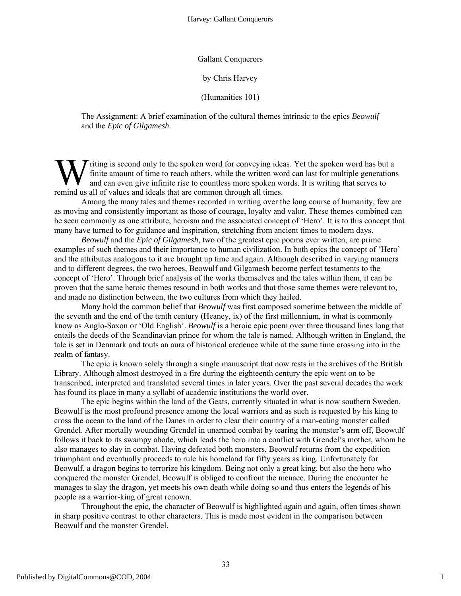## Gallant Conquerors

## by Chris Harvey

## (Humanities 101)

The Assignment: A brief examination of the cultural themes intrinsic to the epics *Beowulf* and the *Epic of Gilgamesh*.

Triting is second only to the spoken word for conveying ideas. Yet the spoken word has but a finite amount of time to reach others, while the written word can last for multiple generations and can even give infinite rise to countless more spoken words. It is writing that serves to **W** finite amount of time to reach others, while the written word and can even give infinite rise to countless more spoken we remind us all of values and ideals that are common through all times.

Among the many tales and themes recorded in writing over the long course of humanity, few are as moving and consistently important as those of courage, loyalty and valor. These themes combined can be seen commonly as one attribute, heroism and the associated concept of 'Hero'. It is to this concept that many have turned to for guidance and inspiration, stretching from ancient times to modern days.

*Beowulf* and the *Epic of Gilgamesh*, two of the greatest epic poems ever written, are prime examples of such themes and their importance to human civilization. In both epics the concept of 'Hero' and the attributes analogous to it are brought up time and again. Although described in varying manners and to different degrees, the two heroes, Beowulf and Gilgamesh become perfect testaments to the concept of 'Hero'. Through brief analysis of the works themselves and the tales within them, it can be proven that the same heroic themes resound in both works and that those same themes were relevant to, and made no distinction between, the two cultures from which they hailed.

Many hold the common belief that *Beowulf* was first composed sometime between the middle of the seventh and the end of the tenth century (Heaney, ix) of the first millennium, in what is commonly know as Anglo-Saxon or 'Old English'. *Beowulf* is a heroic epic poem over three thousand lines long that entails the deeds of the Scandinavian prince for whom the tale is named. Although written in England, the tale is set in Denmark and touts an aura of historical credence while at the same time crossing into in the realm of fantasy.

The epic is known solely through a single manuscript that now rests in the archives of the British Library. Although almost destroyed in a fire during the eighteenth century the epic went on to be transcribed, interpreted and translated several times in later years. Over the past several decades the work has found its place in many a syllabi of academic institutions the world over.

The epic begins within the land of the Geats, currently situated in what is now southern Sweden. Beowulf is the most profound presence among the local warriors and as such is requested by his king to cross the ocean to the land of the Danes in order to clear their country of a man-eating monster called Grendel. After mortally wounding Grendel in unarmed combat by tearing the monster's arm off, Beowulf follows it back to its swampy abode, which leads the hero into a conflict with Grendel's mother, whom he also manages to slay in combat. Having defeated both monsters, Beowulf returns from the expedition triumphant and eventually proceeds to rule his homeland for fifty years as king. Unfortunately for Beowulf, a dragon begins to terrorize his kingdom. Being not only a great king, but also the hero who conquered the monster Grendel, Beowulf is obliged to confront the menace. During the encounter he manages to slay the dragon, yet meets his own death while doing so and thus enters the legends of his people as a warrior-king of great renown.

Throughout the epic, the character of Beowulf is highlighted again and again, often times shown in sharp positive contrast to other characters. This is made most evident in the comparison between Beowulf and the monster Grendel.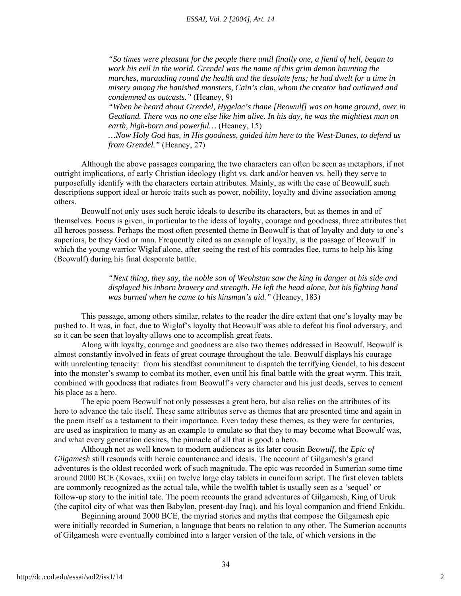*"So times were pleasant for the people there until finally one, a fiend of hell, began to work his evil in the world. Grendel was the name of this grim demon haunting the marches, marauding round the health and the desolate fens; he had dwelt for a time in misery among the banished monsters, Cain's clan, whom the creator had outlawed and condemned as outcasts."* (Heaney, 9)

*"When he heard about Grendel, Hygelac's thane [Beowulf] was on home ground, over in Geatland. There was no one else like him alive. In his day, he was the mightiest man on earth, high-born and powerful…* (Heaney, 15)

*…Now Holy God has, in His goodness, guided him here to the West-Danes, to defend us from Grendel."* (Heaney, 27)

Although the above passages comparing the two characters can often be seen as metaphors, if not outright implications, of early Christian ideology (light vs. dark and/or heaven vs. hell) they serve to purposefully identify with the characters certain attributes. Mainly, as with the case of Beowulf, such descriptions support ideal or heroic traits such as power, nobility, loyalty and divine association among others.

Beowulf not only uses such heroic ideals to describe its characters, but as themes in and of themselves. Focus is given, in particular to the ideas of loyalty, courage and goodness, three attributes that all heroes possess. Perhaps the most often presented theme in Beowulf is that of loyalty and duty to one's superiors, be they God or man. Frequently cited as an example of loyalty, is the passage of Beowulf in which the young warrior Wiglaf alone, after seeing the rest of his comrades flee, turns to help his king (Beowulf) during his final desperate battle.

> *"Next thing, they say, the noble son of Weohstan saw the king in danger at his side and displayed his inborn bravery and strength. He left the head alone, but his fighting hand was burned when he came to his kinsman's aid."* (Heaney, 183)

This passage, among others similar, relates to the reader the dire extent that one's loyalty may be pushed to. It was, in fact, due to Wiglaf's loyalty that Beowulf was able to defeat his final adversary, and so it can be seen that loyalty allows one to accomplish great feats.

Along with loyalty, courage and goodness are also two themes addressed in Beowulf. Beowulf is almost constantly involved in feats of great courage throughout the tale. Beowulf displays his courage with unrelenting tenacity: from his steadfast commitment to dispatch the terrifying Gendel, to his descent into the monster's swamp to combat its mother, even until his final battle with the great wyrm. This trait, combined with goodness that radiates from Beowulf's very character and his just deeds, serves to cement his place as a hero.

The epic poem Beowulf not only possesses a great hero, but also relies on the attributes of its hero to advance the tale itself. These same attributes serve as themes that are presented time and again in the poem itself as a testament to their importance. Even today these themes, as they were for centuries, are used as inspiration to many as an example to emulate so that they to may become what Beowulf was, and what every generation desires, the pinnacle of all that is good: a hero.

Although not as well known to modern audiences as its later cousin *Beowulf,* the *Epic of Gilgamesh* still resounds with heroic countenance and ideals. The account of Gilgamesh's grand adventures is the oldest recorded work of such magnitude. The epic was recorded in Sumerian some time around 2000 BCE (Kovacs, xxiii) on twelve large clay tablets in cuneiform script. The first eleven tablets are commonly recognized as the actual tale, while the twelfth tablet is usually seen as a 'sequel' or follow-up story to the initial tale. The poem recounts the grand adventures of Gilgamesh, King of Uruk (the capitol city of what was then Babylon, present-day Iraq), and his loyal companion and friend Enkidu.

Beginning around 2000 BCE, the myriad stories and myths that compose the Gilgamesh epic were initially recorded in Sumerian, a language that bears no relation to any other. The Sumerian accounts of Gilgamesh were eventually combined into a larger version of the tale, of which versions in the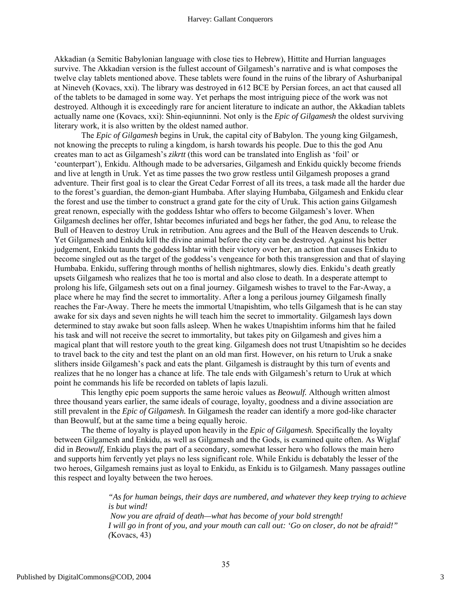Akkadian (a Semitic Babylonian language with close ties to Hebrew), Hittite and Hurrian languages survive. The Akkadian version is the fullest account of Gilgamesh's narrative and is what composes the twelve clay tablets mentioned above. These tablets were found in the ruins of the library of Ashurbanipal at Nineveh (Kovacs, xxi). The library was destroyed in 612 BCE by Persian forces, an act that caused all of the tablets to be damaged in some way. Yet perhaps the most intriguing piece of the work was not destroyed. Although it is exceedingly rare for ancient literature to indicate an author, the Akkadian tablets actually name one (Kovacs, xxi): Shin-eqiunninni. Not only is the *Epic of Gilgamesh* the oldest surviving literary work, it is also written by the oldest named author.

 The *Epic of Gilgamesh* begins in Uruk, the capital city of Babylon. The young king Gilgamesh, not knowing the precepts to ruling a kingdom, is harsh towards his people. Due to this the god Anu creates man to act as Gilgamesh's *zikrtt* (this word can be translated into English as 'foil' or 'counterpart'), Enkidu. Although made to be adversaries, Gilgamesh and Enkidu quickly become friends and live at length in Uruk. Yet as time passes the two grow restless until Gilgamesh proposes a grand adventure. Their first goal is to clear the Great Cedar Forrest of all its trees, a task made all the harder due to the forest's guardian, the demon-giant Humbaba. After slaying Humbaba, Gilgamesh and Enkidu clear the forest and use the timber to construct a grand gate for the city of Uruk. This action gains Gilgamesh great renown, especially with the goddess Ishtar who offers to become Gilgamesh's lover. When Gilgamesh declines her offer, Ishtar becomes infuriated and begs her father, the god Anu, to release the Bull of Heaven to destroy Uruk in retribution. Anu agrees and the Bull of the Heaven descends to Uruk. Yet Gilgamesh and Enkidu kill the divine animal before the city can be destroyed. Against his better judgement, Enkidu taunts the goddess Ishtar with their victory over her, an action that causes Enkidu to become singled out as the target of the goddess's vengeance for both this transgression and that of slaying Humbaba. Enkidu, suffering through months of hellish nightmares, slowly dies. Enkidu's death greatly upsets Gilgamesh who realizes that he too is mortal and also close to death. In a desperate attempt to prolong his life, Gilgamesh sets out on a final journey. Gilgamesh wishes to travel to the Far-Away, a place where he may find the secret to immortality. After a long a perilous journey Gilgamesh finally reaches the Far-Away. There he meets the immortal Utnapishtim, who tells Gilgamesh that is he can stay awake for six days and seven nights he will teach him the secret to immortality. Gilgamesh lays down determined to stay awake but soon falls asleep. When he wakes Utnapishtim informs him that he failed his task and will not receive the secret to immortality, but takes pity on Gilgamesh and gives him a magical plant that will restore youth to the great king. Gilgamesh does not trust Utnapishtim so he decides to travel back to the city and test the plant on an old man first. However, on his return to Uruk a snake slithers inside Gilgamesh's pack and eats the plant. Gilgamesh is distraught by this turn of events and realizes that he no longer has a chance at life. The tale ends with Gilgamesh's return to Uruk at which point he commands his life be recorded on tablets of lapis lazuli.

This lengthy epic poem supports the same heroic values as *Beowulf.* Although written almost three thousand years earlier, the same ideals of courage, loyalty, goodness and a divine association are still prevalent in the *Epic of Gilgamesh.* In Gilgamesh the reader can identify a more god-like character than Beowulf, but at the same time a being equally heroic.

The theme of loyalty is played upon heavily in the *Epic of Gilgamesh.* Specifically the loyalty between Gilgamesh and Enkidu, as well as Gilgamesh and the Gods, is examined quite often. As Wiglaf did in *Beowulf,* Enkidu plays the part of a secondary, somewhat lesser hero who follows the main hero and supports him fervently yet plays no less significant role. While Enkidu is debatably the lesser of the two heroes, Gilgamesh remains just as loyal to Enkidu, as Enkidu is to Gilgamesh. Many passages outline this respect and loyalty between the two heroes.

> *"As for human beings, their days are numbered, and whatever they keep trying to achieve is but wind! Now you are afraid of death—what has become of your bold strength! I will go in front of you, and your mouth can call out: 'Go on closer, do not be afraid!" (*Kovacs, 43)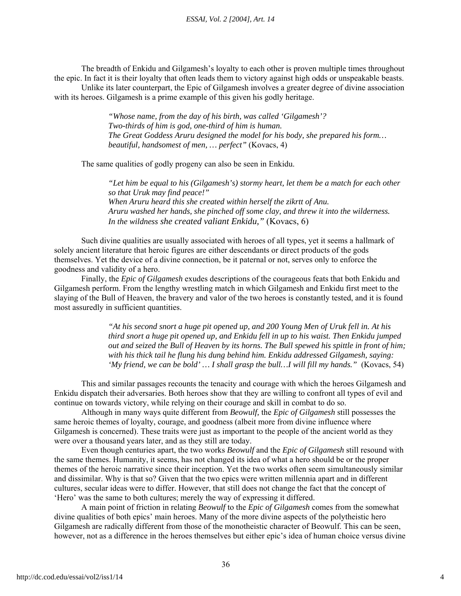The breadth of Enkidu and Gilgamesh's loyalty to each other is proven multiple times throughout the epic. In fact it is their loyalty that often leads them to victory against high odds or unspeakable beasts.

Unlike its later counterpart, the Epic of Gilgamesh involves a greater degree of divine association with its heroes. Gilgamesh is a prime example of this given his godly heritage.

> *"Whose name, from the day of his birth, was called 'Gilgamesh'? Two-thirds of him is god, one-third of him is human. The Great Goddess Aruru designed the model for his body, she prepared his form… beautiful, handsomest of men, … perfect"* (Kovacs, 4)

The same qualities of godly progeny can also be seen in Enkidu.

*"Let him be equal to his (Gilgamesh's) stormy heart, let them be a match for each other so that Uruk may find peace!" When Aruru heard this she created within herself the zikrtt of Anu. Aruru washed her hands, she pinched off some clay, and threw it into the wilderness. In the wildness she created valiant Enkidu,"* (Kovacs, 6)

Such divine qualities are usually associated with heroes of all types, yet it seems a hallmark of solely ancient literature that heroic figures are either descendants or direct products of the gods themselves. Yet the device of a divine connection, be it paternal or not, serves only to enforce the goodness and validity of a hero.

 Finally, the *Epic of Gilgamesh* exudes descriptions of the courageous feats that both Enkidu and Gilgamesh perform. From the lengthy wrestling match in which Gilgamesh and Enkidu first meet to the slaying of the Bull of Heaven, the bravery and valor of the two heroes is constantly tested, and it is found most assuredly in sufficient quantities.

> *"At his second snort a huge pit opened up, and 200 Young Men of Uruk fell in. At his third snort a huge pit opened up, and Enkidu fell in up to his waist. Then Enkidu jumped out and seized the Bull of Heaven by its horns. The Bull spewed his spittle in front of him; with his thick tail he flung his dung behind him. Enkidu addressed Gilgamesh, saying: 'My friend, we can be bold' … I shall grasp the bull…I will fill my hands."* (Kovacs, 54)

This and similar passages recounts the tenacity and courage with which the heroes Gilgamesh and Enkidu dispatch their adversaries. Both heroes show that they are willing to confront all types of evil and continue on towards victory, while relying on their courage and skill in combat to do so.

Although in many ways quite different from *Beowulf,* the *Epic of Gilgamesh* still possesses the same heroic themes of loyalty, courage, and goodness (albeit more from divine influence where Gilgamesh is concerned). These traits were just as important to the people of the ancient world as they were over a thousand years later, and as they still are today.

Even though centuries apart, the two works *Beowulf* and the *Epic of Gilgamesh* still resound with the same themes. Humanity, it seems, has not changed its idea of what a hero should be or the proper themes of the heroic narrative since their inception. Yet the two works often seem simultaneously similar and dissimilar. Why is that so? Given that the two epics were written millennia apart and in different cultures, secular ideas were to differ. However, that still does not change the fact that the concept of 'Hero' was the same to both cultures; merely the way of expressing it differed.

A main point of friction in relating *Beowulf* to the *Epic of Gilgamesh* comes from the somewhat divine qualities of both epics' main heroes. Many of the more divine aspects of the polytheistic hero Gilgamesh are radically different from those of the monotheistic character of Beowulf. This can be seen, however, not as a difference in the heroes themselves but either epic's idea of human choice versus divine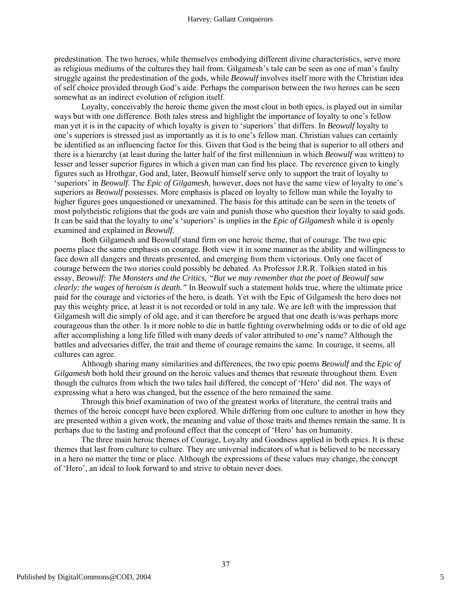predestination. The two heroes, while themselves embodying different divine characteristics, serve more as religious mediums of the cultures they hail from. Gilgamesh's tale can be seen as one of man's faulty struggle against the predestination of the gods, while *Beowulf* involves itself more with the Christian idea of self choice provided through God's aide. Perhaps the comparison between the two heroes can be seen somewhat as an indirect evolution of religion itself.

Loyalty, conceivably the heroic theme given the most clout in both epics, is played out in similar ways but with one difference. Both tales stress and highlight the importance of loyalty to one's fellow man yet it is in the capacity of which loyalty is given to 'superiors' that differs. In *Beowulf* loyalty to one's superiors is stressed just as importantly as it is to one's fellow man. Christian values can certainly be identified as an influencing factor for this. Given that God is the being that is superior to all others and there is a hierarchy (at least during the latter half of the first millennium in which *Beowulf* was written) to lesser and lesser superior figures in which a given man can find his place. The reverence given to kingly figures such as Hrothgar, God and, later, Beowulf himself serve only to support the trait of loyalty to 'superiors' in *Beowulf*. The *Epic of Gilgamesh,* however, does not have the same view of loyalty to one's superiors as *Beowulf* possesses. More emphasis is placed on loyalty to fellow man while the loyalty to higher figures goes unquestioned or unexamined. The basis for this attitude can be seen in the tenets of most polytheistic religions that the gods are vain and punish those who question their loyalty to said gods. It can be said that the loyalty to one's 'superiors' is implies in the *Epic of Gilgamesh* while it is openly examined and explained in *Beowulf.*

Both Gilgamesh and Beowulf stand firm on one heroic theme, that of courage. The two epic poems place the same emphasis on courage. Both view it in some manner as the ability and willingness to face down all dangers and threats presented, and emerging from them victorious. Only one facet of courage between the two stories could possibly be debated. As Professor J.R.R. Tolkien stated in his essay, *Beowulf: The Monsters and the Critics, "But we may remember that the poet of Beowulf saw clearly: the wages of heroism is death."* In Beowulf such a statement holds true, where the ultimate price paid for the courage and victories of the hero, is death. Yet with the Epic of Gilgamesh the hero does not pay this weighty price, at least it is not recorded or told in any tale. We are left with the impression that Gilgamesh will die simply of old age, and it can therefore be argued that one death is/was perhaps more courageous than the other. Is it more noble to die in battle fighting overwhelming odds or to die of old age after accomplishing a long life filled with many deeds of valor attributed to one's name? Although the battles and adversaries differ, the trait and theme of courage remains the same. In courage, it seems, all cultures can agree.

Although sharing many similarities and differences, the two epic poems *Beowulf* and the *Epic of Gilgamesh* both hold their ground on the heroic values and themes that resonate throughout them. Even though the cultures from which the two tales hail differed, the concept of 'Hero' did not. The ways of expressing what a hero was changed, but the essence of the hero remained the same.

Through this brief examination of two of the greatest works of literature, the central traits and themes of the heroic concept have been explored. While differing from one culture to another in how they are presented within a given work, the meaning and value of those traits and themes remain the same. It is perhaps due to the lasting and profound effect that the concept of 'Hero' has on humanity.

The three main heroic themes of Courage, Loyalty and Goodness applied in both epics. It is these themes that last from culture to culture. They are universal indicators of what is believed to be necessary in a hero no matter the time or place. Although the expressions of these values may change, the concept of 'Hero', an ideal to look forward to and strive to obtain never does.